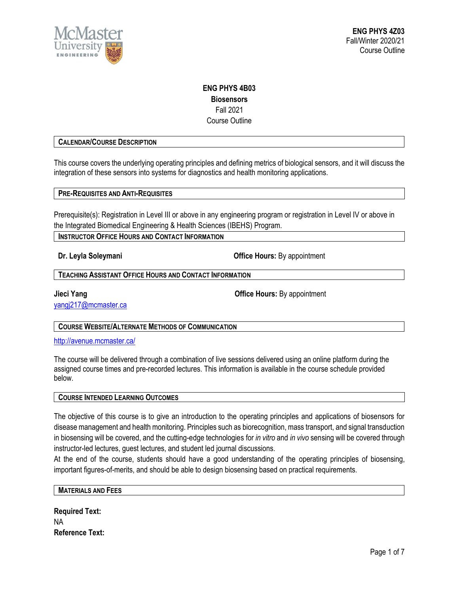

## **ENG PHYS 4B03 Biosensors** Fall 2021 Course Outline

### **CALENDAR/COURSE DESCRIPTION**

This course covers the underlying operating principles and defining metrics of biological sensors, and it will discuss the integration of these sensors into systems for diagnostics and health monitoring applications.

**PRE-REQUISITES AND ANTI-REQUISITES**

Prerequisite(s): Registration in Level III or above in any engineering program or registration in Level IV or above in the Integrated Biomedical Engineering & Health Sciences (IBEHS) Program.

**INSTRUCTOR OFFICE HOURS AND CONTACT INFORMATION** 

**Dr. Leyla Soleymani Office Hours:** By appointment

**TEACHING ASSISTANT OFFICE HOURS AND CONTACT INFORMATION**

[yangj217@mcmaster.ca](mailto:yangj217@mcmaster.ca)

**Jieci Yang Office Hours:** By appointment

**COURSE WEBSITE/ALTERNATE METHODS OF COMMUNICATION**

<http://avenue.mcmaster.ca/>

The course will be delivered through a combination of live sessions delivered using an online platform during the assigned course times and pre-recorded lectures. This information is available in the course schedule provided below.

### **COURSE INTENDED LEARNING OUTCOMES**

The objective of this course is to give an introduction to the operating principles and applications of biosensors for disease management and health monitoring. Principles such as biorecognition, mass transport, and signal transduction in biosensing will be covered, and the cutting-edge technologies for *in vitro* and *in vivo* sensing will be covered through instructor-led lectures, guest lectures, and student led journal discussions.

At the end of the course, students should have a good understanding of the operating principles of biosensing, important figures-of-merits, and should be able to design biosensing based on practical requirements.

### **MATERIALS AND FEES**

**Required Text:** NA **Reference Text:**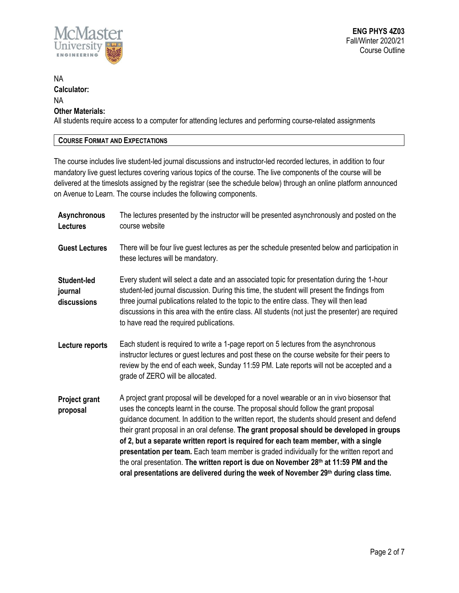

# NA **Calculator:** NA **Other Materials:** All students require access to a computer for attending lectures and performing course-related assignments

## **COURSE FORMAT AND EXPECTATIONS**

The course includes live student-led journal discussions and instructor-led recorded lectures, in addition to four mandatory live guest lectures covering various topics of the course. The live components of the course will be delivered at the timeslots assigned by the registrar (see the schedule below) through an online platform announced on Avenue to Learn. The course includes the following components.

| <b>Asynchronous</b><br><b>Lectures</b>       | The lectures presented by the instructor will be presented asynchronously and posted on the<br>course website                                                                                                                                                                                                                                                                                                                                                                                                                                                                                                                                                                                                                                           |
|----------------------------------------------|---------------------------------------------------------------------------------------------------------------------------------------------------------------------------------------------------------------------------------------------------------------------------------------------------------------------------------------------------------------------------------------------------------------------------------------------------------------------------------------------------------------------------------------------------------------------------------------------------------------------------------------------------------------------------------------------------------------------------------------------------------|
| <b>Guest Lectures</b>                        | There will be four live guest lectures as per the schedule presented below and participation in<br>these lectures will be mandatory.                                                                                                                                                                                                                                                                                                                                                                                                                                                                                                                                                                                                                    |
| <b>Student-led</b><br>journal<br>discussions | Every student will select a date and an associated topic for presentation during the 1-hour<br>student-led journal discussion. During this time, the student will present the findings from<br>three journal publications related to the topic to the entire class. They will then lead<br>discussions in this area with the entire class. All students (not just the presenter) are required<br>to have read the required publications.                                                                                                                                                                                                                                                                                                                |
| Lecture reports                              | Each student is required to write a 1-page report on 5 lectures from the asynchronous<br>instructor lectures or guest lectures and post these on the course website for their peers to<br>review by the end of each week, Sunday 11:59 PM. Late reports will not be accepted and a<br>grade of ZERO will be allocated.                                                                                                                                                                                                                                                                                                                                                                                                                                  |
| <b>Project grant</b><br>proposal             | A project grant proposal will be developed for a novel wearable or an in vivo biosensor that<br>uses the concepts learnt in the course. The proposal should follow the grant proposal<br>guidance document. In addition to the written report, the students should present and defend<br>their grant proposal in an oral defense. The grant proposal should be developed in groups<br>of 2, but a separate written report is required for each team member, with a single<br>presentation per team. Each team member is graded individually for the written report and<br>the oral presentation. The written report is due on November 28th at 11:59 PM and the<br>oral presentations are delivered during the week of November 29th during class time. |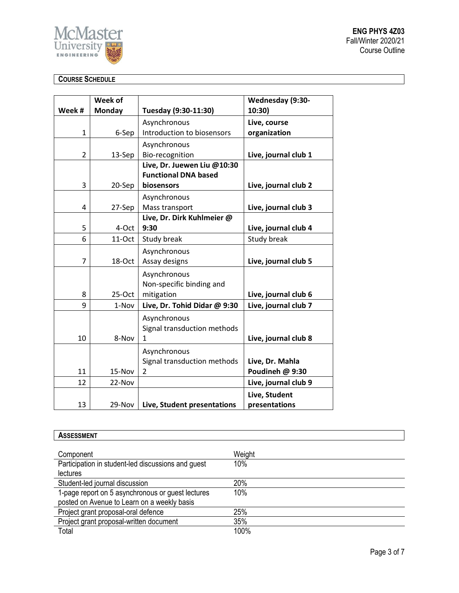

**ENG PHYS 4Z03** Fall/Winter 2020/21 Course Outline

# **COURSE SCHEDULE**

|                | Week of       |                              | Wednesday (9:30-     |
|----------------|---------------|------------------------------|----------------------|
| Week #         | <b>Monday</b> | Tuesday (9:30-11:30)         | 10:30)               |
|                |               | Asynchronous                 | Live, course         |
| $\mathbf{1}$   | 6-Sep         | Introduction to biosensors   | organization         |
|                |               | Asynchronous                 |                      |
| $\overline{2}$ | 13-Sep        | Bio-recognition              | Live, journal club 1 |
|                |               | Live, Dr. Juewen Liu @10:30  |                      |
|                |               | <b>Functional DNA based</b>  |                      |
| 3              | 20-Sep        | biosensors                   | Live, journal club 2 |
|                |               | Asynchronous                 |                      |
| 4              | 27-Sep        | Mass transport               | Live, journal club 3 |
|                |               | Live, Dr. Dirk Kuhlmeier @   |                      |
| 5              | 4-Oct         | 9:30                         | Live, journal club 4 |
| 6              | $11-Oct$      | Study break                  | Study break          |
|                |               | Asynchronous                 |                      |
| $\overline{7}$ | 18-Oct        | Assay designs                | Live, journal club 5 |
|                |               | Asynchronous                 |                      |
|                |               | Non-specific binding and     |                      |
| 8              | $25-Oct$      | mitigation                   | Live, journal club 6 |
| 9              | 1-Nov         | Live, Dr. Tohid Didar @ 9:30 | Live, journal club 7 |
|                |               | Asynchronous                 |                      |
|                |               | Signal transduction methods  |                      |
| 10             | 8-Nov         | 1                            | Live, journal club 8 |
|                |               | Asynchronous                 |                      |
|                |               | Signal transduction methods  | Live, Dr. Mahla      |
| 11             | 15-Nov        | $\overline{2}$               | Poudineh @ 9:30      |
| 12             | 22-Nov        |                              | Live, journal club 9 |
|                |               |                              | Live, Student        |
| 13             | 29-Nov        | Live, Student presentations  | presentations        |

| <b>ASSESSMENT</b>                                  |        |  |  |  |
|----------------------------------------------------|--------|--|--|--|
|                                                    |        |  |  |  |
| Component                                          | Weight |  |  |  |
| Participation in student-led discussions and guest | 10%    |  |  |  |
| <b>lectures</b>                                    |        |  |  |  |
| Student-led journal discussion                     | 20%    |  |  |  |
| 1-page report on 5 asynchronous or guest lectures  | 10%    |  |  |  |
| posted on Avenue to Learn on a weekly basis        |        |  |  |  |
| Project grant proposal-oral defence                | 25%    |  |  |  |
| Project grant proposal-written document            | 35%    |  |  |  |
| Total                                              | 100%   |  |  |  |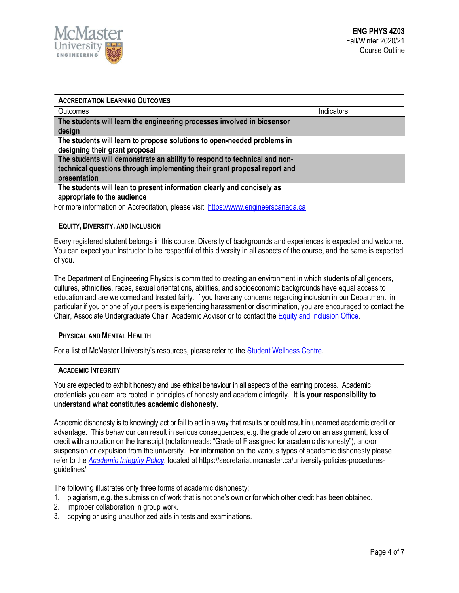

| <b>ACCREDITATION LEARNING OUTCOMES</b>                                                                                                                                |            |
|-----------------------------------------------------------------------------------------------------------------------------------------------------------------------|------------|
| Outcomes                                                                                                                                                              | Indicators |
| The students will learn the engineering processes involved in biosensor<br>design                                                                                     |            |
| The students will learn to propose solutions to open-needed problems in<br>designing their grant proposal                                                             |            |
| The students will demonstrate an ability to respond to technical and non-<br>technical questions through implementing their grant proposal report and<br>presentation |            |
| The students will lean to present information clearly and concisely as<br>appropriate to the audience                                                                 |            |
| For more information on Accreditation, please visit: https://www.engineerscanada.ca                                                                                   |            |

### **EQUITY, DIVERSITY, AND INCLUSION**

Every registered student belongs in this course. Diversity of backgrounds and experiences is expected and welcome. You can expect your Instructor to be respectful of this diversity in all aspects of the course, and the same is expected of you.

The Department of Engineering Physics is committed to creating an environment in which students of all genders, cultures, ethnicities, races, sexual orientations, abilities, and socioeconomic backgrounds have equal access to education and are welcomed and treated fairly. If you have any concerns regarding inclusion in our Department, in particular if you or one of your peers is experiencing harassment or discrimination, you are encouraged to contact the Chair, Associate Undergraduate Chair, Academic Advisor or to contact the Equity and [Inclusion](https://equity.mcmaster.ca/) Office.

### **PHYSICAL AND MENTAL HEALTH**

For a list of McMaster University's resources, please refer to the [Student Wellness Centre.](https://wellness.mcmaster.ca/)

#### **ACADEMIC INTEGRITY**

You are expected to exhibit honesty and use ethical behaviour in all aspects of the learning process. Academic credentials you earn are rooted in principles of honesty and academic integrity. **It is your responsibility to understand what constitutes academic dishonesty.**

Academic dishonesty is to knowingly act or fail to act in a way that results or could result in unearned academic credit or advantage. This behaviour can result in serious consequences, e.g. the grade of zero on an assignment, loss of credit with a notation on the transcript (notation reads: "Grade of F assigned for academic dishonesty"), and/or suspension or expulsion from the university. For information on the various types of academic dishonesty please refer to the *[Academic Integrity Policy](https://secretariat.mcmaster.ca/app/uploads/Academic-Integrity-Policy-1-1.pdf)*[,](https://secretariat.mcmaster.ca/app/uploads/Academic-Integrity-Policy-1-1.pdf) located at https://secretariat.mcmaster.ca/university-policies-proceduresguidelines/

The following illustrates only three forms of academic dishonesty:

- 1. plagiarism, e.g. the submission of work that is not one's own or for which other credit has been obtained.
- 2. improper collaboration in group work.
- 3. copying or using unauthorized aids in tests and examinations.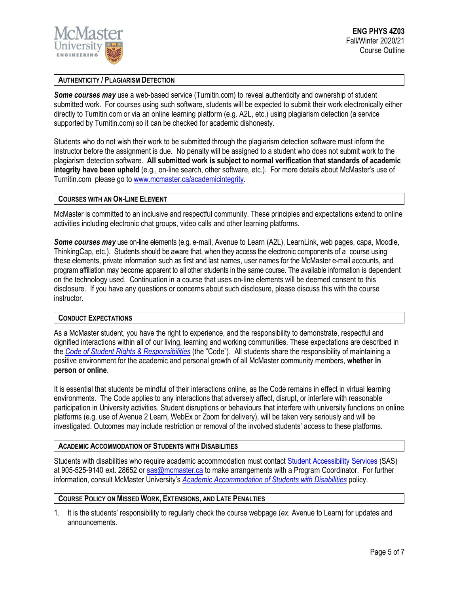

### **AUTHENTICITY / PLAGIARISM DETECTION**

*Some courses may* use a web-based service (Turnitin.com) to reveal authenticity and ownership of student submitted work. For courses using such software, students will be expected to submit their work electronically either directly to Turnitin.com or via an online learning platform (e.g. A2L, etc.) using plagiarism detection (a service supported by Turnitin.com) so it can be checked for academic dishonesty.

Students who do not wish their work to be submitted through the plagiarism detection software must inform the Instructor before the assignment is due. No penalty will be assigned to a student who does not submit work to the plagiarism detection software. **All submitted work is subject to normal verification that standards of academic integrity have been upheld** (e.g., on-line search, other software, etc.). For more details about McMaster's use of Turnitin.com please go t[o www.mcmaster.ca/academicintegrity.](http://www.mcmaster.ca/academicintegrity)

### **COURSES WITH AN ON-LINE ELEMENT**

McMaster is committed to an inclusive and respectful community. These principles and expectations extend to online activities including electronic chat groups, video calls and other learning platforms.

*Some courses may* use on-line elements (e.g. e-mail, Avenue to Learn (A2L), LearnLink, web pages, capa, Moodle, ThinkingCap, etc.). Students should be aware that, when they access the electronic components of a course using these elements, private information such as first and last names, user names for the McMaster e-mail accounts, and program affiliation may become apparent to all other students in the same course. The available information is dependent on the technology used. Continuation in a course that uses on-line elements will be deemed consent to this disclosure. If you have any questions or concerns about such disclosure, please discuss this with the course instructor.

### **CONDUCT EXPECTATIONS**

As a McMaster student, you have the right to experience, and the responsibility to demonstrate, respectful and dignified interactions within all of our living, learning and working communities. These expectations are described in the *Code of Student Rights & [Responsibilities](https://secretariat.mcmaster.ca/app/uploads/Code-of-Student-Rights-and-Responsibilities.pdf)* (the "Code"). All students share the responsibility of maintaining a positive environment for the academic and personal growth of all McMaster community members, **whether in person or online**.

It is essential that students be mindful of their interactions online, as the Code remains in effect in virtual learning environments. The Code applies to any interactions that adversely affect, disrupt, or interfere with reasonable participation in University activities. Student disruptions or behaviours that interfere with university functions on online platforms (e.g. use of Avenue 2 Learn, WebEx or Zoom for delivery), will be taken very seriously and will be investigated. Outcomes may include restriction or removal of the involved students' access to these platforms.

### **ACADEMIC ACCOMMODATION OF STUDENTS WITH DISABILITIES**

Students with disabilities who require academic accommodation must contact Student [Accessibility Services](https://sas.mcmaster.ca/) (SAS) at 905-525-9140 ext. 28652 or [sas@mcmaster.ca](mailto:sas@mcmaster.ca) to make arrangements with a Program Coordinator. For further information, consult McMaster University's *[Academic Accommodation](https://secretariat.mcmaster.ca/app/uploads/Academic-Accommodations-Policy.pdf) of Students with Disabilities* policy.

## **COURSE POLICY ON MISSED WORK, EXTENSIONS, AND LATE PENALTIES**

1. It is the students' responsibility to regularly check the course webpage (*ex.* Avenue to Learn) for updates and announcements.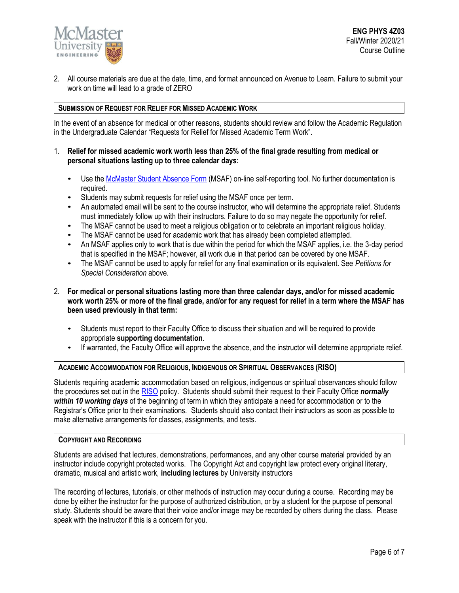

2. All course materials are due at the date, time, and format announced on Avenue to Learn. Failure to submit your work on time will lead to a grade of ZERO

### **SUBMISSION OF REQUEST FOR RELIEF FOR MISSED ACADEMIC WORK**

In the event of an absence for medical or other reasons, students should review and follow the Academic Regulation in the Undergraduate Calendar "Requests for Relief for Missed Academic Term Work".

### 1. **Relief for missed academic work worth less than 25% of the final grade resulting from medical or personal situations lasting up to three calendar days:**

- Use th[e McMaster Student Absence Form](http://mcmaster.ca/msaf/) (MSAF) on-line self-reporting tool. No further documentation is required.
- Students may submit requests for relief using the MSAF once per term.
- An automated email will be sent to the course instructor, who will determine the appropriate relief. Students must immediately follow up with their instructors. Failure to do so may negate the opportunity for relief.
- The MSAF cannot be used to meet a religious obligation or to celebrate an important religious holiday.
- The MSAF cannot be used for academic work that has already been completed attempted.
- An MSAF applies only to work that is due within the period for which the MSAF applies, i.e. the 3-day period that is specified in the MSAF; however, all work due in that period can be covered by one MSAF.
- The MSAF cannot be used to apply for relief for any final examination or its equivalent. See *Petitions for Special Consideration* above.
- 2. **For medical or personal situations lasting more than three calendar days, and/or for missed academic work worth 25% or more of the final grade, and/or for any request for relief in a term where the MSAF has been used previously in that term:**
	- Students must report to their Faculty Office to discuss their situation and will be required to provide appropriate **supporting documentation**.
	- If warranted, the Faculty Office will approve the absence, and the instructor will determine appropriate relief.

### **ACADEMIC ACCOMMODATION FOR RELIGIOUS, INDIGENOUS OR SPIRITUAL OBSERVANCES (RISO)**

Students requiring academic accommodation based on religious, indigenous or spiritual observances should follow the procedures set out in the [RISO](https://secretariat.mcmaster.ca/app/uploads/2019/02/Academic-Accommodation-for-Religious-Indigenous-and-Spiritual-Observances-Policy-on.pdf) policy. Students should submit their request to their Faculty Office *normally within 10 working days* of the beginning of term in which they anticipate a need for accommodation or to the Registrar's Office prior to their examinations. Students should also contact their instructors as soon as possible to make alternative arrangements for classes, assignments, and tests.

#### **COPYRIGHT AND RECORDING**

Students are advised that lectures, demonstrations, performances, and any other course material provided by an instructor include copyright protected works. The Copyright Act and copyright law protect every original literary, dramatic, musical and artistic work, **including lectures** by University instructors

The recording of lectures, tutorials, or other methods of instruction may occur during a course. Recording may be done by either the instructor for the purpose of authorized distribution, or by a student for the purpose of personal study. Students should be aware that their voice and/or image may be recorded by others during the class. Please speak with the instructor if this is a concern for you.